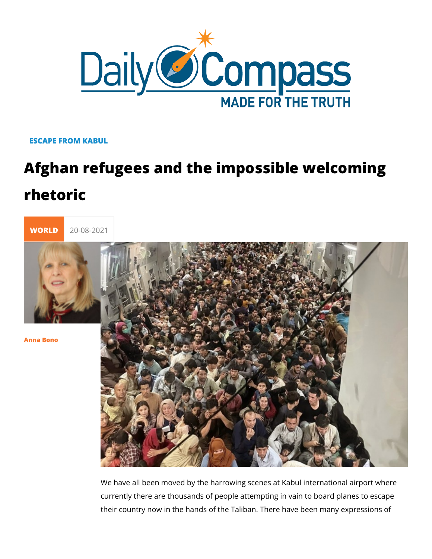## ESCAPE FROM KABUL

## Afghan refugees and the impossible we rhetoric



[Anna Bo](/en/anna-bono)no

We have all been moved by the harrowing scenes at Kabul inte currently there are thousands of people attempting in vain to b their country now in the hands of the Taliban. There have been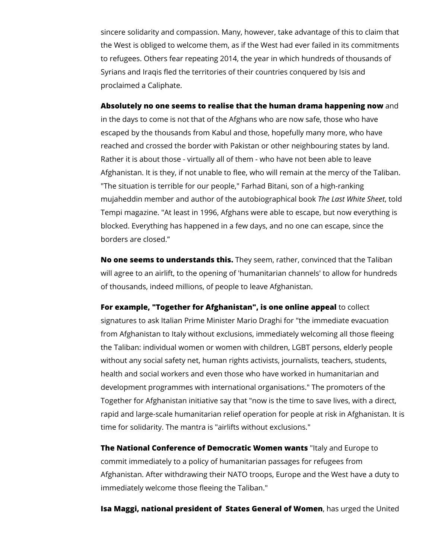sincere solidarity and compassion. Many, however, take advantage of this to claim that the West is obliged to welcome them, as if the West had ever failed in its commitments to refugees. Others fear repeating 2014, the year in which hundreds of thousands of Syrians and Iraqis fled the territories of their countries conquered by Isis and proclaimed a Caliphate.

## **Absolutely no one seems to realise that the human drama happening now** and

in the days to come is not that of the Afghans who are now safe, those who have escaped by the thousands from Kabul and those, hopefully many more, who have reached and crossed the border with Pakistan or other neighbouring states by land. Rather it is about those - virtually all of them - who have not been able to leave Afghanistan. It is they, if not unable to flee, who will remain at the mercy of the Taliban. "The situation is terrible for our people," Farhad Bitani, son of a high-ranking mujaheddin member and author of the autobiographical book *The Last White Sheet*, told Tempi magazine. "At least in 1996, Afghans were able to escape, but now everything is blocked. Everything has happened in a few days, and no one can escape, since the borders are closed."

**No one seems to understands this.** They seem, rather, convinced that the Taliban will agree to an airlift, to the opening of 'humanitarian channels' to allow for hundreds of thousands, indeed millions, of people to leave Afghanistan.

**For example, "Together for Afghanistan", is one online appeal** to collect signatures to ask Italian Prime Minister Mario Draghi for "the immediate evacuation from Afghanistan to Italy without exclusions, immediately welcoming all those fleeing the Taliban: individual women or women with children, LGBT persons, elderly people without any social safety net, human rights activists, journalists, teachers, students, health and social workers and even those who have worked in humanitarian and development programmes with international organisations." The promoters of the Together for Afghanistan initiative say that "now is the time to save lives, with a direct, rapid and large-scale humanitarian relief operation for people at risk in Afghanistan. It is time for solidarity. The mantra is "airlifts without exclusions."

**The National Conference of Democratic Women wants** "Italy and Europe to commit immediately to a policy of humanitarian passages for refugees from Afghanistan. After withdrawing their NATO troops, Europe and the West have a duty to immediately welcome those fleeing the Taliban."

**Isa Maggi, national president of States General of Women**, has urged the United